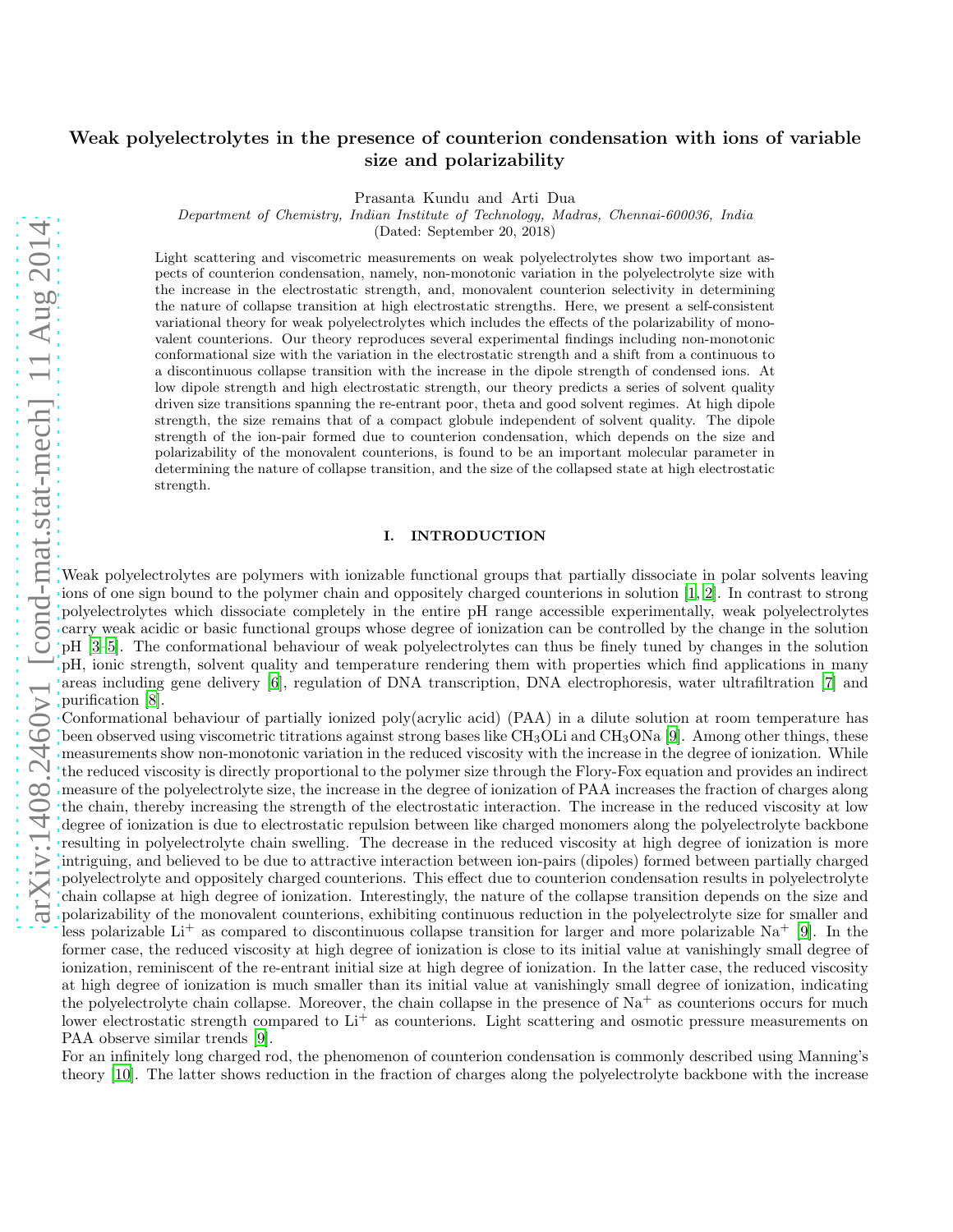# Weak polyelectrolytes in the presence of counterion condensation with ions of variable size and polarizability

Prasanta Kundu and Arti Dua

Department of Chemistry, Indian Institute of Technology, Madras, Chennai-600036, India

(Dated: September 20, 2018)

Light scattering and viscometric measurements on weak polyelectrolytes show two important aspects of counterion condensation, namely, non-monotonic variation in the polyelectrolyte size with the increase in the electrostatic strength, and, monovalent counterion selectivity in determining the nature of collapse transition at high electrostatic strengths. Here, we present a self-consistent variational theory for weak polyelectrolytes which includes the effects of the polarizability of monovalent counterions. Our theory reproduces several experimental findings including non-monotonic conformational size with the variation in the electrostatic strength and a shift from a continuous to a discontinuous collapse transition with the increase in the dipole strength of condensed ions. At low dipole strength and high electrostatic strength, our theory predicts a series of solvent quality driven size transitions spanning the re-entrant poor, theta and good solvent regimes. At high dipole strength, the size remains that of a compact globule independent of solvent quality. The dipole strength of the ion-pair formed due to counterion condensation, which depends on the size and polarizability of the monovalent counterions, is found to be an important molecular parameter in determining the nature of collapse transition, and the size of the collapsed state at high electrostatic strength.

## I. INTRODUCTION

Weak polyelectrolytes are polymers with ionizable functional groups that partially dissociate in polar solvents leaving ions of one sign bound to the polymer chain and oppositely charged counterions in solution [\[1](#page-13-0), [2](#page-13-1)]. In contrast to strong polyelectrolytes which dissociate completely in the entire pH range accessible experimentally, weak polyelectrolytes carry weak acidic or basic functional groups whose degree of ionization can be controlled by the change in the solution pH [\[3](#page-13-2)[–5](#page-13-3)]. The conformational behaviour of weak polyelectrolytes can thus be finely tuned by changes in the solution pH, ionic strength, solvent quality and temperature rendering them with properties which find applications in many areas including gene delivery [\[6](#page-13-4)], regulation of DNA transcription, DNA electrophoresis, water ultrafiltration [\[7](#page-13-5)] and purification [\[8\]](#page-13-6).

Conformational behaviour of partially ionized poly(acrylic acid) (PAA) in a dilute solution at room temperature has been observed using viscometric titrations against strong bases like  $CH_3OLi$  and  $CH_3ONa$  [\[9\]](#page-13-7). Among other things, these measurements show non-monotonic variation in the reduced viscosity with the increase in the degree of ionization. While the reduced viscosity is directly proportional to the polymer size through the Flory-Fox equation and provides an indirect measure of the polyelectrolyte size, the increase in the degree of ionization of PAA increases the fraction of charges along the chain, thereby increasing the strength of the electrostatic interaction. The increase in the reduced viscosity at low degree of ionization is due to electrostatic repulsion between like charged monomers along the polyelectrolyte backbone resulting in polyelectrolyte chain swelling. The decrease in the reduced viscosity at high degree of ionization is more intriguing, and believed to be due to attractive interaction between ion-pairs (dipoles) formed between partially charged polyelectrolyte and oppositely charged counterions. This effect due to counterion condensation results in polyelectrolyte chain collapse at high degree of ionization. Interestingly, the nature of the collapse transition depends on the size and polarizability of the monovalent counterions, exhibiting continuous reduction in the polyelectrolyte size for smaller and less polarizable Li<sup>+</sup> as compared to discontinuous collapse transition for larger and more polarizable Na<sup>+</sup> [\[9](#page-13-7)]. In the former case, the reduced viscosity at high degree of ionization is close to its initial value at vanishingly small degree of ionization, reminiscent of the re-entrant initial size at high degree of ionization. In the latter case, the reduced viscosity at high degree of ionization is much smaller than its initial value at vanishingly small degree of ionization, indicating the polyelectrolyte chain collapse. Moreover, the chain collapse in the presence of  $\text{Na}^+$  as counterions occurs for much lower electrostatic strength compared to  $Li^+$  as counterions. Light scattering and osmotic pressure measurements on PAA observe similar trends [\[9](#page-13-7)].

For an infinitely long charged rod, the phenomenon of counterion condensation is commonly described using Manning's theory [\[10\]](#page-13-8). The latter shows reduction in the fraction of charges along the polyelectrolyte backbone with the increase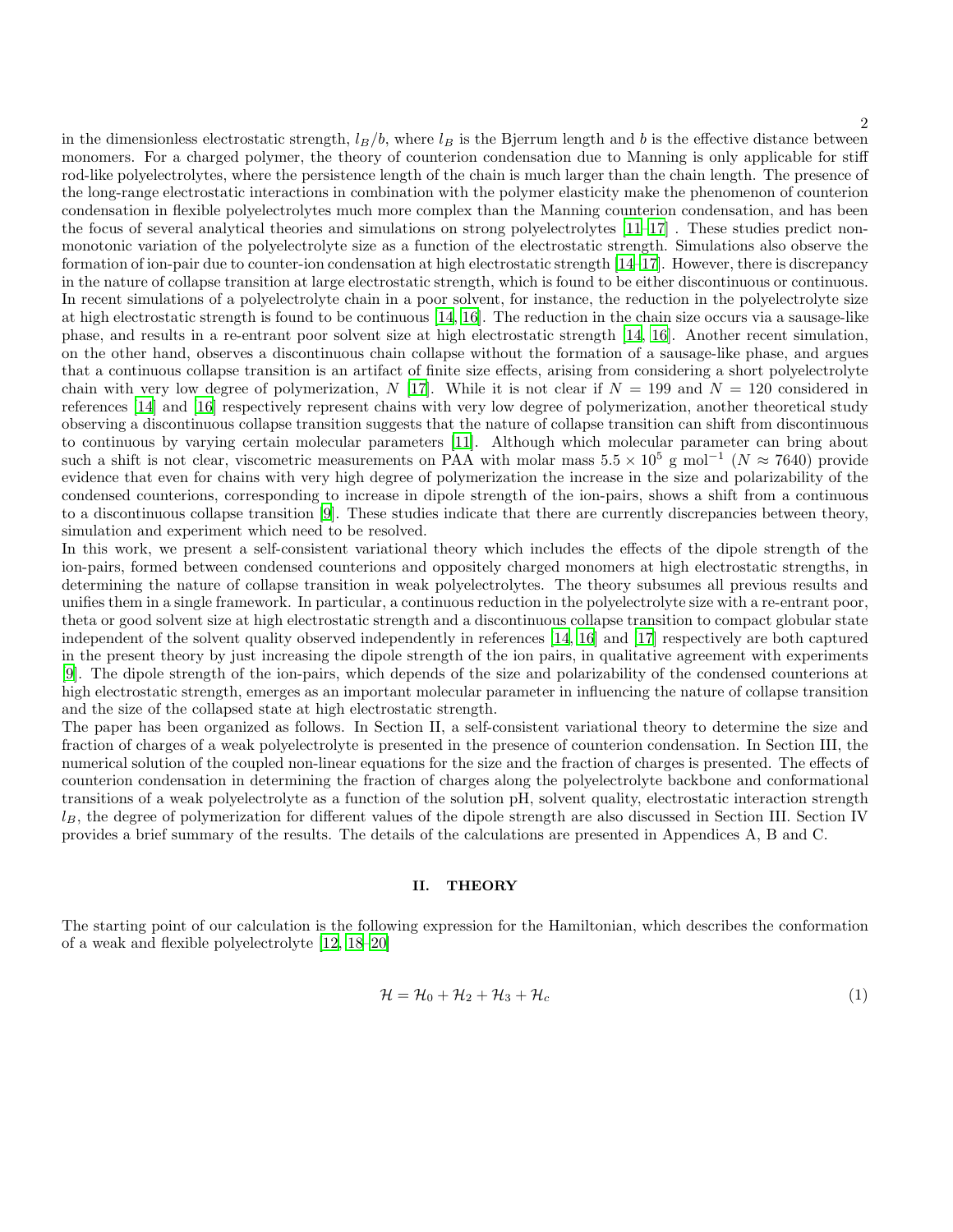in the dimensionless electrostatic strength,  $l_B/b$ , where  $l_B$  is the Bjerrum length and b is the effective distance between monomers. For a charged polymer, the theory of counterion condensation due to Manning is only applicable for stiff rod-like polyelectrolytes, where the persistence length of the chain is much larger than the chain length. The presence of the long-range electrostatic interactions in combination with the polymer elasticity make the phenomenon of counterion condensation in flexible polyelectrolytes much more complex than the Manning counterion condensation, and has been the focus of several analytical theories and simulations on strong polyelectrolytes [\[11](#page-13-9)[–17](#page-13-10)] . These studies predict nonmonotonic variation of the polyelectrolyte size as a function of the electrostatic strength. Simulations also observe the formation of ion-pair due to counter-ion condensation at high electrostatic strength [\[14](#page-13-11)[–17\]](#page-13-10). However, there is discrepancy in the nature of collapse transition at large electrostatic strength, which is found to be either discontinuous or continuous. In recent simulations of a polyelectrolyte chain in a poor solvent, for instance, the reduction in the polyelectrolyte size at high electrostatic strength is found to be continuous [\[14,](#page-13-11) [16](#page-13-12)]. The reduction in the chain size occurs via a sausage-like phase, and results in a re-entrant poor solvent size at high electrostatic strength [\[14](#page-13-11), [16\]](#page-13-12). Another recent simulation, on the other hand, observes a discontinuous chain collapse without the formation of a sausage-like phase, and argues that a continuous collapse transition is an artifact of finite size effects, arising from considering a short polyelectrolyte chain with very low degree of polymerization, N [\[17\]](#page-13-10). While it is not clear if  $N = 199$  and  $N = 120$  considered in references [\[14](#page-13-11)] and [\[16\]](#page-13-12) respectively represent chains with very low degree of polymerization, another theoretical study observing a discontinuous collapse transition suggests that the nature of collapse transition can shift from discontinuous to continuous by varying certain molecular parameters [\[11](#page-13-9)]. Although which molecular parameter can bring about such a shift is not clear, viscometric measurements on PAA with molar mass  $5.5 \times 10^5$  g mol<sup>-1</sup> ( $N \approx 7640$ ) provide evidence that even for chains with very high degree of polymerization the increase in the size and polarizability of the condensed counterions, corresponding to increase in dipole strength of the ion-pairs, shows a shift from a continuous to a discontinuous collapse transition [\[9\]](#page-13-7). These studies indicate that there are currently discrepancies between theory, simulation and experiment which need to be resolved.

In this work, we present a self-consistent variational theory which includes the effects of the dipole strength of the ion-pairs, formed between condensed counterions and oppositely charged monomers at high electrostatic strengths, in determining the nature of collapse transition in weak polyelectrolytes. The theory subsumes all previous results and unifies them in a single framework. In particular, a continuous reduction in the polyelectrolyte size with a re-entrant poor, theta or good solvent size at high electrostatic strength and a discontinuous collapse transition to compact globular state independent of the solvent quality observed independently in references [\[14](#page-13-11), [16\]](#page-13-12) and [\[17\]](#page-13-10) respectively are both captured in the present theory by just increasing the dipole strength of the ion pairs, in qualitative agreement with experiments [\[9](#page-13-7)]. The dipole strength of the ion-pairs, which depends of the size and polarizability of the condensed counterions at high electrostatic strength, emerges as an important molecular parameter in influencing the nature of collapse transition and the size of the collapsed state at high electrostatic strength.

The paper has been organized as follows. In Section II, a self-consistent variational theory to determine the size and fraction of charges of a weak polyelectrolyte is presented in the presence of counterion condensation. In Section III, the numerical solution of the coupled non-linear equations for the size and the fraction of charges is presented. The effects of counterion condensation in determining the fraction of charges along the polyelectrolyte backbone and conformational transitions of a weak polyelectrolyte as a function of the solution pH, solvent quality, electrostatic interaction strength  $l_B$ , the degree of polymerization for different values of the dipole strength are also discussed in Section III. Section IV provides a brief summary of the results. The details of the calculations are presented in Appendices A, B and C.

#### II. THEORY

The starting point of our calculation is the following expression for the Hamiltonian, which describes the conformation of a weak and flexible polyelectrolyte [\[12](#page-13-13), [18](#page-13-14)[–20\]](#page-13-15)

$$
\mathcal{H} = \mathcal{H}_0 + \mathcal{H}_2 + \mathcal{H}_3 + \mathcal{H}_c \tag{1}
$$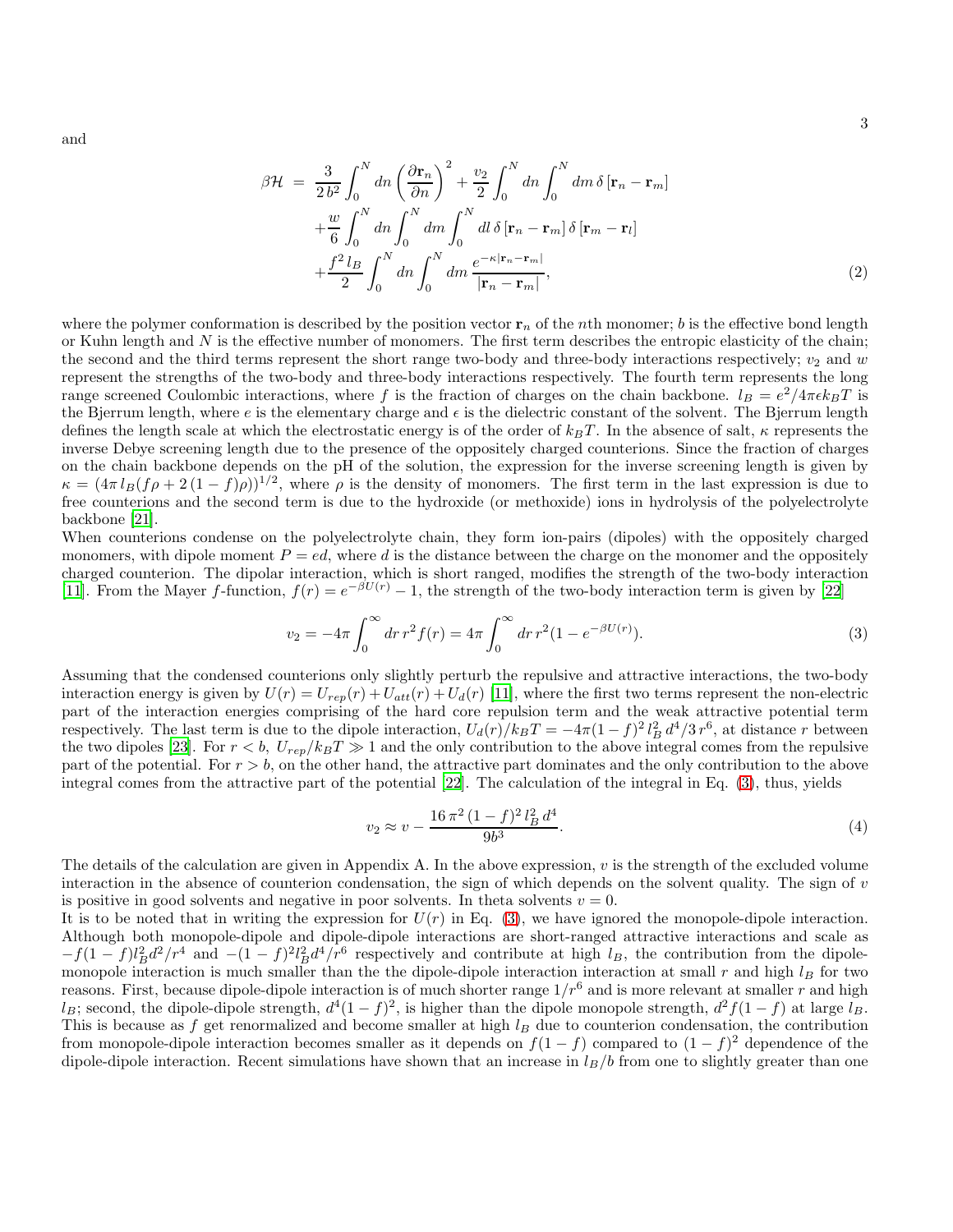and

$$
\beta \mathcal{H} = \frac{3}{2b^2} \int_0^N dn \left(\frac{\partial \mathbf{r}_n}{\partial n}\right)^2 + \frac{v_2}{2} \int_0^N dn \int_0^N dm \,\delta\left[\mathbf{r}_n - \mathbf{r}_m\right] + \frac{w}{6} \int_0^N dn \int_0^N dm \int_0^N dl \,\delta\left[\mathbf{r}_n - \mathbf{r}_m\right] \delta\left[\mathbf{r}_m - \mathbf{r}_l\right] + \frac{f^2 l_B}{2} \int_0^N dn \int_0^N dm \frac{e^{-\kappa|\mathbf{r}_n - \mathbf{r}_m|}}{|\mathbf{r}_n - \mathbf{r}_m|},
$$
(2)

where the polymer conformation is described by the position vector  $r_n$  of the *n*th monomer; b is the effective bond length or Kuhn length and  $N$  is the effective number of monomers. The first term describes the entropic elasticity of the chain; the second and the third terms represent the short range two-body and three-body interactions respectively;  $v_2$  and w represent the strengths of the two-body and three-body interactions respectively. The fourth term represents the long range screened Coulombic interactions, where f is the fraction of charges on the chain backbone.  $l_B = e^2/4\pi\epsilon k_BT$  is the Bjerrum length, where  $e$  is the elementary charge and  $\epsilon$  is the dielectric constant of the solvent. The Bjerrum length defines the length scale at which the electrostatic energy is of the order of  $k_BT$ . In the absence of salt,  $\kappa$  represents the inverse Debye screening length due to the presence of the oppositely charged counterions. Since the fraction of charges on the chain backbone depends on the pH of the solution, the expression for the inverse screening length is given by  $\kappa = (4\pi l_B(f\rho + 2(1-f)\rho))^{1/2}$ , where  $\rho$  is the density of monomers. The first term in the last expression is due to free counterions and the second term is due to the hydroxide (or methoxide) ions in hydrolysis of the polyelectrolyte backbone [\[21](#page-13-16)].

When counterions condense on the polyelectrolyte chain, they form ion-pairs (dipoles) with the oppositely charged monomers, with dipole moment  $P = ed$ , where d is the distance between the charge on the monomer and the oppositely charged counterion. The dipolar interaction, which is short ranged, modifies the strength of the two-body interaction [\[11](#page-13-9)]. From the Mayer f-function,  $f(r) = e^{-\beta U(r)} - 1$ , the strength of the two-body interaction term is given by [\[22](#page-13-17)]

<span id="page-2-0"></span>
$$
v_2 = -4\pi \int_0^\infty dr \, r^2 f(r) = 4\pi \int_0^\infty dr \, r^2 (1 - e^{-\beta U(r)}) \tag{3}
$$

Assuming that the condensed counterions only slightly perturb the repulsive and attractive interactions, the two-body interaction energy is given by  $U(r) = U_{rep}(r) + U_{att}(r) + U_{d}(r)$  [\[11\]](#page-13-9), where the first two terms represent the non-electric part of the interaction energies comprising of the hard core repulsion term and the weak attractive potential term respectively. The last term is due to the dipole interaction,  $U_d(r)/k_BT = -4\pi(1-f)^2 l_B^2 d^4/3 r^6$ , at distance r between the two dipoles [\[23\]](#page-13-18). For  $r < b$ ,  $U_{rep}/k_BT \gg 1$  and the only contribution to the above integral comes from the repulsive part of the potential. For  $r > b$ , on the other hand, the attractive part dominates and the only contribution to the above integral comes from the attractive part of the potential [\[22](#page-13-17)]. The calculation of the integral in Eq. [\(3\)](#page-2-0), thus, yields

$$
v_2 \approx v - \frac{16\,\pi^2\,(1-f)^2\,l_B^2\,d^4}{9b^3}.\tag{4}
$$

The details of the calculation are given in Appendix A. In the above expression,  $v$  is the strength of the excluded volume interaction in the absence of counterion condensation, the sign of which depends on the solvent quality. The sign of  $v$ is positive in good solvents and negative in poor solvents. In theta solvents  $v = 0$ .

It is to be noted that in writing the expression for  $U(r)$  in Eq. [\(3\)](#page-2-0), we have ignored the monopole-dipole interaction. Although both monopole-dipole and dipole-dipole interactions are short-ranged attractive interactions and scale as  $-f(1-f)l_B^2d^2/r^4$  and  $-(1-f)^2l_B^2d^4/r^6$  respectively and contribute at high  $l_B$ , the contribution from the dipolemonopole interaction is much smaller than the the dipole-dipole interaction interaction at small  $r$  and high  $l_B$  for two reasons. First, because dipole-dipole interaction is of much shorter range  $1/r^6$  and is more relevant at smaller r and high  $l_B$ ; second, the dipole-dipole strength,  $d^4(1-f)^2$ , is higher than the dipole monopole strength,  $d^2f(1-f)$  at large  $l_B$ . This is because as  $f$  get renormalized and become smaller at high  $l_B$  due to counterion condensation, the contribution from monopole-dipole interaction becomes smaller as it depends on  $f(1-f)$  compared to  $(1-f)^2$  dependence of the dipole-dipole interaction. Recent simulations have shown that an increase in  $l_B/b$  from one to slightly greater than one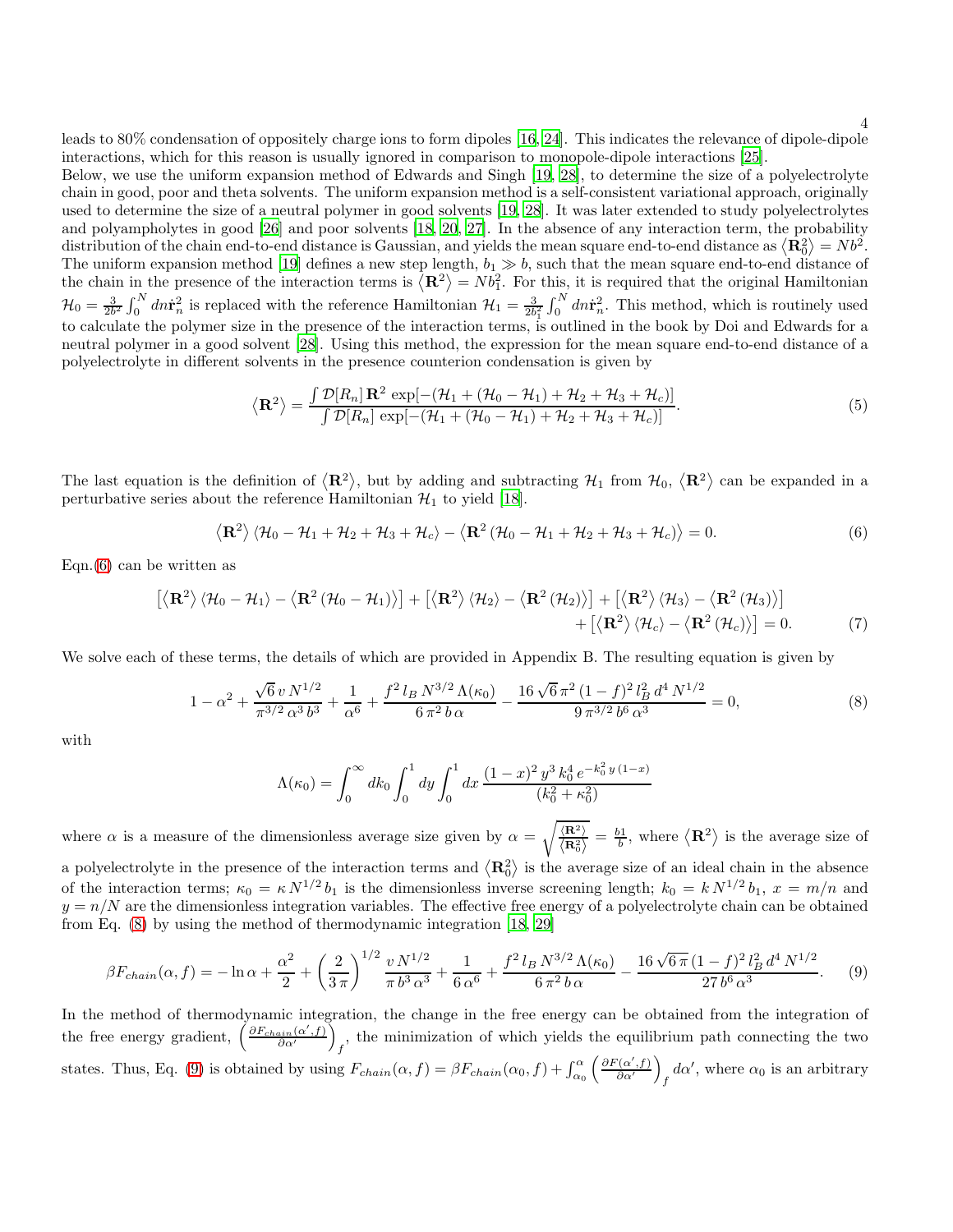leads to 80% condensation of oppositely charge ions to form dipoles [\[16](#page-13-12), [24\]](#page-13-19). This indicates the relevance of dipole-dipole interactions, which for this reason is usually ignored in comparison to monopole-dipole interactions [\[25](#page-13-20)].

Below, we use the uniform expansion method of Edwards and Singh [\[19](#page-13-21), [28](#page-13-22)], to determine the size of a polyelectrolyte chain in good, poor and theta solvents. The uniform expansion method is a self-consistent variational approach, originally used to determine the size of a neutral polymer in good solvents [\[19,](#page-13-21) [28\]](#page-13-22). It was later extended to study polyelectrolytes and polyampholytes in good [\[26](#page-13-23)] and poor solvents [\[18](#page-13-14), [20](#page-13-15), [27](#page-13-24)]. In the absence of any interaction term, the probability distribution of the chain end-to-end distance is Gaussian, and yields the mean square end-to-end distance as  $\langle \mathbf{R}_0^2 \rangle = N b^2$ . The uniform expansion method [\[19](#page-13-21)] defines a new step length,  $b_1 \gg b$ , such that the mean square end-to-end distance of the chain in the presence of the interaction terms is  $\langle \mathbf{R}^2 \rangle = N b_1^2$ . For this, it is required that the original Hamiltonian  $\mathcal{H}_0 = \frac{3}{2b^2} \int_0^N dn \dot{\mathbf{r}}_n^2$  is replaced with the reference Hamiltonian  $\mathcal{H}_1 = \frac{3}{2b_1^2} \int_0^N dn \dot{\mathbf{r}}_n^2$ . This method, which is routinely used to calculate the polymer size in the presence of the interaction terms, is outlined in the book by Doi and Edwards for a neutral polymer in a good solvent [\[28\]](#page-13-22). Using this method, the expression for the mean square end-to-end distance of a polyelectrolyte in different solvents in the presence counterion condensation is given by

$$
\langle \mathbf{R}^2 \rangle = \frac{\int \mathcal{D}[R_n] \mathbf{R}^2 \exp[-(\mathcal{H}_1 + (\mathcal{H}_0 - \mathcal{H}_1) + \mathcal{H}_2 + \mathcal{H}_3 + \mathcal{H}_c)]}{\int \mathcal{D}[R_n] \exp[-(\mathcal{H}_1 + (\mathcal{H}_0 - \mathcal{H}_1) + \mathcal{H}_2 + \mathcal{H}_3 + \mathcal{H}_c)]}.
$$
(5)

The last equation is the definition of  $\langle \mathbf{R}^2 \rangle$ , but by adding and subtracting  $\mathcal{H}_1$  from  $\mathcal{H}_0$ ,  $\langle \mathbf{R}^2 \rangle$  can be expanded in a perturbative series about the reference Hamiltonian  $\mathcal{H}_1$  to yield [\[18\]](#page-13-14).

<span id="page-3-0"></span>
$$
\langle \mathbf{R}^2 \rangle \langle \mathcal{H}_0 - \mathcal{H}_1 + \mathcal{H}_2 + \mathcal{H}_3 + \mathcal{H}_c \rangle - \langle \mathbf{R}^2 (\mathcal{H}_0 - \mathcal{H}_1 + \mathcal{H}_2 + \mathcal{H}_3 + \mathcal{H}_c) \rangle = 0.
$$
 (6)

Eqn. $(6)$  can be written as

<span id="page-3-3"></span>
$$
\left[\left\langle \mathbf{R}^{2}\right\rangle \left\langle \mathcal{H}_{0}-\mathcal{H}_{1}\right\rangle -\left\langle \mathbf{R}^{2}\left(\mathcal{H}_{0}-\mathcal{H}_{1}\right)\right\rangle \right]+\left[\left\langle \mathbf{R}^{2}\right\rangle \left\langle \mathcal{H}_{2}\right\rangle -\left\langle \mathbf{R}^{2}\left(\mathcal{H}_{2}\right)\right\rangle \right]+\left[\left\langle \mathbf{R}^{2}\right\rangle \left\langle \mathcal{H}_{3}\right\rangle -\left\langle \mathbf{R}^{2}\left(\mathcal{H}_{3}\right)\right\rangle \right] +\left[\left\langle \mathbf{R}^{2}\right\rangle \left\langle \mathcal{H}_{c}\right\rangle -\left\langle \mathbf{R}^{2}\left(\mathcal{H}_{c}\right)\right\rangle \right]=0.
$$
 (7)

We solve each of these terms, the details of which are provided in Appendix B. The resulting equation is given by

<span id="page-3-1"></span>
$$
1 - \alpha^2 + \frac{\sqrt{6} v N^{1/2}}{\pi^{3/2} \alpha^3 b^3} + \frac{1}{\alpha^6} + \frac{f^2 l_B N^{3/2} \Lambda(\kappa_0)}{6 \pi^2 b \alpha} - \frac{16 \sqrt{6} \pi^2 (1 - f)^2 l_B^2 d^4 N^{1/2}}{9 \pi^{3/2} b^6 \alpha^3} = 0,
$$
\n(8)

with

$$
\Lambda(\kappa_0) = \int_0^\infty dk_0 \int_0^1 dy \int_0^1 dx \, \frac{(1-x)^2 y^3 k_0^4 e^{-k_0^2 y (1-x)}}{(k_0^2 + \kappa_0^2)}
$$

where  $\alpha$  is a measure of the dimensionless average size given by  $\alpha = \sqrt{\frac{\langle \mathbf{R}^2 \rangle}{\langle \mathbf{R}^2 \rangle}}$  $\left\langle \mathbf{R}_{0}^{2}\right\rangle$  $=\frac{b_1}{b}$ , where  $\langle \mathbf{R}^2 \rangle$  is the average size of a polyelectrolyte in the presence of the interaction terms and  $\langle \mathbf{R}_0^2 \rangle$  is the average size of an ideal chain in the absence of the interaction terms;  $\kappa_0 = \kappa N^{1/2} b_1$  is the dimensionless inverse screening length;  $k_0 = k N^{1/2} b_1$ ,  $x = m/n$  and  $y = n/N$  are the dimensionless integration variables. The effective free energy of a polyelectrolyte chain can be obtained from Eq. [\(8\)](#page-3-1) by using the method of thermodynamic integration [\[18,](#page-13-14) [29](#page-13-25)]

<span id="page-3-2"></span>
$$
\beta F_{chain}(\alpha, f) = -\ln \alpha + \frac{\alpha^2}{2} + \left(\frac{2}{3\pi}\right)^{1/2} \frac{v N^{1/2}}{\pi b^3 \alpha^3} + \frac{1}{6\alpha^6} + \frac{f^2 l_B N^{3/2} \Lambda(\kappa_0)}{6\pi^2 b \alpha} - \frac{16\sqrt{6\pi} (1 - f)^2 l_B^2 d^4 N^{1/2}}{27 b^6 \alpha^3}.
$$
 (9)

In the method of thermodynamic integration, the change in the free energy can be obtained from the integration of the free energy gradient,  $\left(\frac{\partial F_{chain}(\alpha',f)}{\partial \alpha'}\right)$ , the minimization of which yields the equilibrium path connecting the two states. Thus, Eq. [\(9\)](#page-3-2) is obtained by using  $F_{chain}(\alpha, f) = \beta F_{chain}(\alpha_0, f) + \int_{\alpha_0}^{\alpha} \left( \frac{\partial F(\alpha', f)}{\partial \alpha'} \right)$  $d\alpha'$ , where  $\alpha_0$  is an arbitrary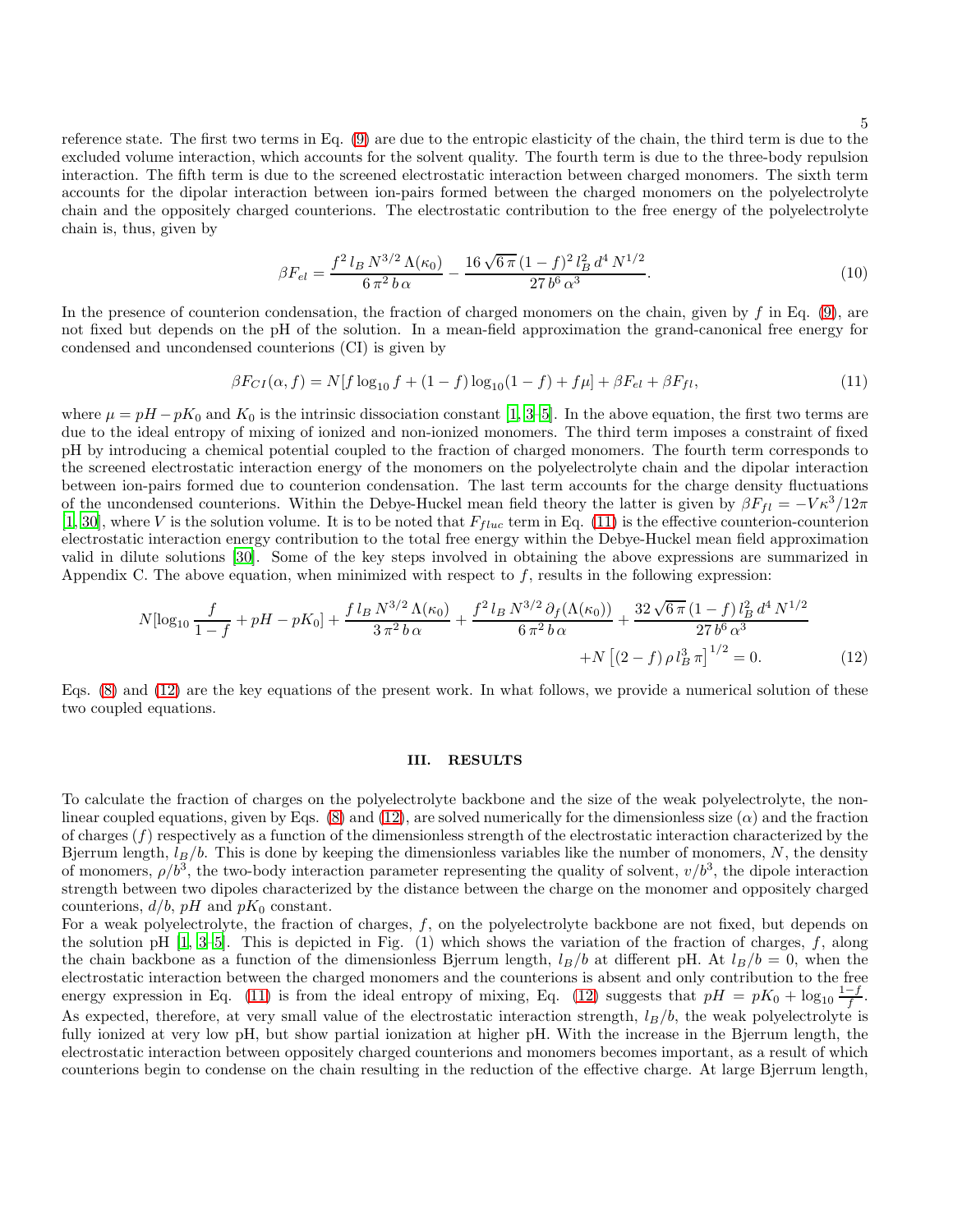5

reference state. The first two terms in Eq. [\(9\)](#page-3-2) are due to the entropic elasticity of the chain, the third term is due to the excluded volume interaction, which accounts for the solvent quality. The fourth term is due to the three-body repulsion interaction. The fifth term is due to the screened electrostatic interaction between charged monomers. The sixth term accounts for the dipolar interaction between ion-pairs formed between the charged monomers on the polyelectrolyte chain and the oppositely charged counterions. The electrostatic contribution to the free energy of the polyelectrolyte chain is, thus, given by

$$
\beta F_{el} = \frac{f^2 l_B N^{3/2} \Lambda(\kappa_0)}{6 \pi^2 b \alpha} - \frac{16 \sqrt{6 \pi} (1 - f)^2 l_B^2 d^4 N^{1/2}}{27 b^6 \alpha^3}.
$$
\n(10)

In the presence of counterion condensation, the fraction of charged monomers on the chain, given by f in Eq.  $(9)$ , are not fixed but depends on the pH of the solution. In a mean-field approximation the grand-canonical free energy for condensed and uncondensed counterions (CI) is given by

<span id="page-4-0"></span>
$$
\beta F_{CI}(\alpha, f) = N[f \log_{10} f + (1 - f) \log_{10} (1 - f) + f \mu] + \beta F_{el} + \beta F_{fl},\tag{11}
$$

where  $\mu = pH - pK_0$  and  $K_0$  is the intrinsic dissociation constant [\[1,](#page-13-0) [3](#page-13-2)[–5](#page-13-3)]. In the above equation, the first two terms are due to the ideal entropy of mixing of ionized and non-ionized monomers. The third term imposes a constraint of fixed pH by introducing a chemical potential coupled to the fraction of charged monomers. The fourth term corresponds to the screened electrostatic interaction energy of the monomers on the polyelectrolyte chain and the dipolar interaction between ion-pairs formed due to counterion condensation. The last term accounts for the charge density fluctuations of the uncondensed counterions. Within the Debye-Huckel mean field theory the latter is given by  $\beta F_{fl} = -V\kappa^3/12\pi$ [\[1](#page-13-0), [30\]](#page-13-26), where V is the solution volume. It is to be noted that  $F_{fluc}$  term in Eq. [\(11\)](#page-4-0) is the effective counterion-counterion electrostatic interaction energy contribution to the total free energy within the Debye-Huckel mean field approximation valid in dilute solutions [\[30\]](#page-13-26). Some of the key steps involved in obtaining the above expressions are summarized in Appendix C. The above equation, when minimized with respect to  $f$ , results in the following expression:

<span id="page-4-1"></span>
$$
N[\log_{10} \frac{f}{1-f} + pH - pK_0] + \frac{f l_B N^{3/2} \Lambda(\kappa_0)}{3 \pi^2 b \alpha} + \frac{f^2 l_B N^{3/2} \partial_f(\Lambda(\kappa_0))}{6 \pi^2 b \alpha} + \frac{32 \sqrt{6 \pi} (1-f) l_B^2 d^4 N^{1/2}}{27 b^6 \alpha^3} + N \left[ (2-f) \rho l_B^3 \pi \right]^{1/2} = 0. \tag{12}
$$

Eqs. [\(8\)](#page-3-1) and [\(12\)](#page-4-1) are the key equations of the present work. In what follows, we provide a numerical solution of these two coupled equations.

### III. RESULTS

To calculate the fraction of charges on the polyelectrolyte backbone and the size of the weak polyelectrolyte, the nonlinear coupled equations, given by Eqs.  $(8)$  and  $(12)$ , are solved numerically for the dimensionless size  $(\alpha)$  and the fraction of charges  $(f)$  respectively as a function of the dimensionless strength of the electrostatic interaction characterized by the Bjerrum length,  $l_B/b$ . This is done by keeping the dimensionless variables like the number of monomers, N, the density of monomers,  $\rho/b^3$ , the two-body interaction parameter representing the quality of solvent,  $v/b^3$ , the dipole interaction strength between two dipoles characterized by the distance between the charge on the monomer and oppositely charged counterions,  $d/b$ , pH and  $pK_0$  constant.

For a weak polyelectrolyte, the fraction of charges, f, on the polyelectrolyte backbone are not fixed, but depends on the solution pH  $[1, 3-5]$  $[1, 3-5]$  $[1, 3-5]$ . This is depicted in Fig.  $(1)$  which shows the variation of the fraction of charges, f, along the chain backbone as a function of the dimensionless Bjerrum length,  $l_B/b$  at different pH. At  $l_B/b = 0$ , when the electrostatic interaction between the charged monomers and the counterions is absent and only contribution to the free energy expression in Eq. [\(11\)](#page-4-0) is from the ideal entropy of mixing, Eq. [\(12\)](#page-4-1) suggests that  $pH = pK_0 + \log_{10} \frac{1-f}{f}$ . As expected, therefore, at very small value of the electrostatic interaction strength,  $l_B/b$ , the weak polyelectrolyte is fully ionized at very low pH, but show partial ionization at higher pH. With the increase in the Bjerrum length, the electrostatic interaction between oppositely charged counterions and monomers becomes important, as a result of which counterions begin to condense on the chain resulting in the reduction of the effective charge. At large Bjerrum length,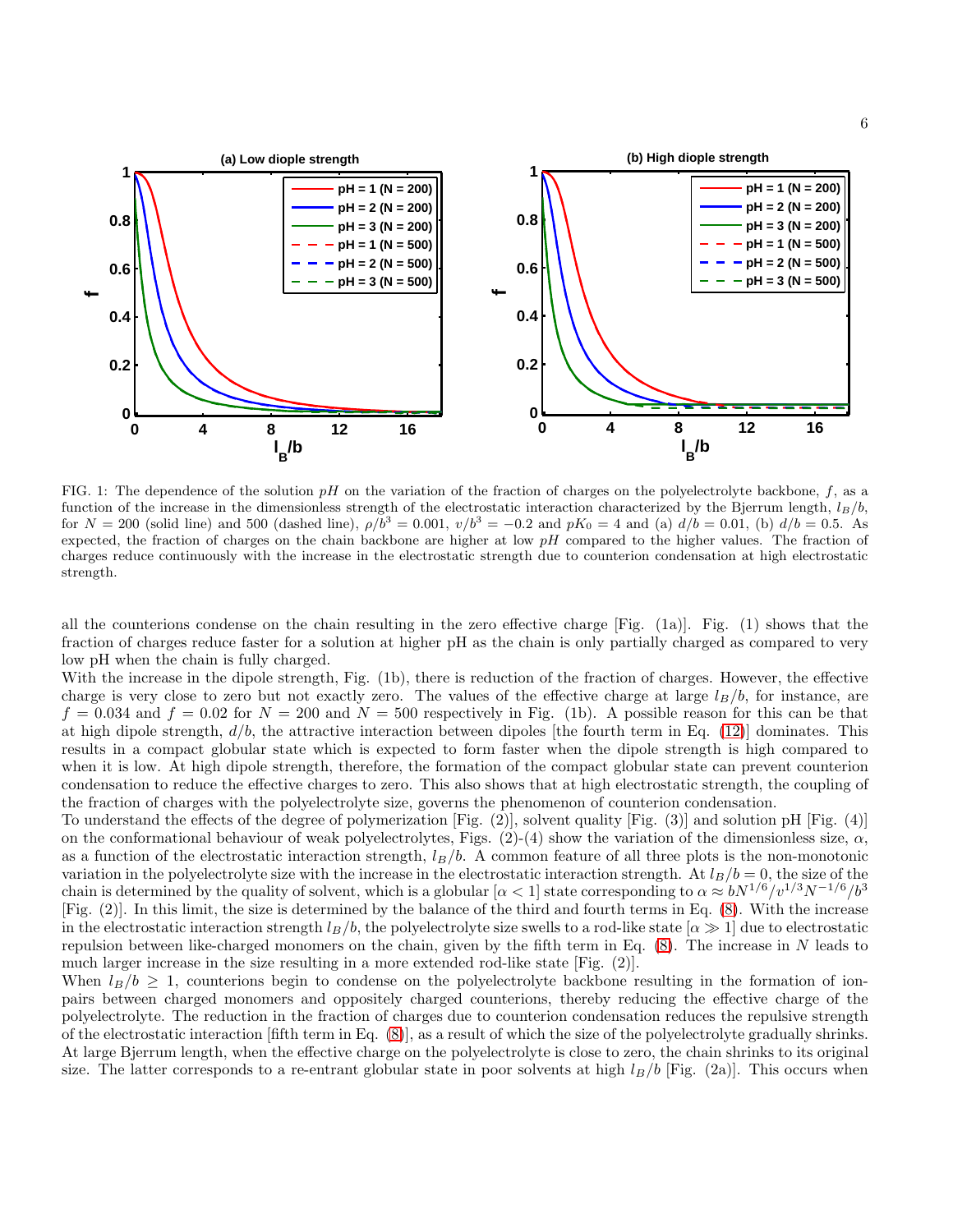

FIG. 1: The dependence of the solution  $pH$  on the variation of the fraction of charges on the polyelectrolyte backbone, f, as a function of the increase in the dimensionless strength of the electrostatic interaction characterized by the Bjerrum length,  $l_B/b$ , for  $N = 200$  (solid line) and 500 (dashed line),  $\rho/b^3 = 0.001$ ,  $v/b^3 = -0.2$  and  $pK_0 = 4$  and (a)  $d/b = 0.01$ , (b)  $d/b = 0.5$ . As expected, the fraction of charges on the chain backbone are higher at low  $pH$  compared to the higher values. The fraction of charges reduce continuously with the increase in the electrostatic strength due to counterion condensation at high electrostatic strength.

all the counterions condense on the chain resulting in the zero effective charge [Fig. (1a)]. Fig. (1) shows that the fraction of charges reduce faster for a solution at higher pH as the chain is only partially charged as compared to very low pH when the chain is fully charged.

With the increase in the dipole strength, Fig. (1b), there is reduction of the fraction of charges. However, the effective charge is very close to zero but not exactly zero. The values of the effective charge at large  $l_B/b$ , for instance, are  $f = 0.034$  and  $f = 0.02$  for  $N = 200$  and  $N = 500$  respectively in Fig. (1b). A possible reason for this can be that at high dipole strength,  $d/b$ , the attractive interaction between dipoles [the fourth term in Eq. [\(12\)](#page-4-1)] dominates. This results in a compact globular state which is expected to form faster when the dipole strength is high compared to when it is low. At high dipole strength, therefore, the formation of the compact globular state can prevent counterion condensation to reduce the effective charges to zero. This also shows that at high electrostatic strength, the coupling of the fraction of charges with the polyelectrolyte size, governs the phenomenon of counterion condensation.

To understand the effects of the degree of polymerization  $[Fig. (2)]$ , solvent quality  $[Fig. (3)]$  and solution pH  $[Fig. (4)]$ on the conformational behaviour of weak polyelectrolytes, Figs.  $(2)-(4)$  show the variation of the dimensionless size,  $\alpha$ , as a function of the electrostatic interaction strength,  $l_B/b$ . A common feature of all three plots is the non-monotonic variation in the polyelectrolyte size with the increase in the electrostatic interaction strength. At  $l_B/b = 0$ , the size of the chain is determined by the quality of solvent, which is a globular  $\left[\alpha < 1\right]$  state corresponding to  $\alpha \approx bN^{1/6}/v^{1/3}N^{-1/6}/b^3$ [Fig. (2)]. In this limit, the size is determined by the balance of the third and fourth terms in Eq. [\(8\)](#page-3-1). With the increase in the electrostatic interaction strength  $l_B/b$ , the polyelectrolyte size swells to a rod-like state  $[\alpha \gg 1]$  due to electrostatic repulsion between like-charged monomers on the chain, given by the fifth term in Eq. [\(8\)](#page-3-1). The increase in N leads to much larger increase in the size resulting in a more extended rod-like state [Fig. (2)].

When  $l_B/b \geq 1$ , counterions begin to condense on the polyelectrolyte backbone resulting in the formation of ionpairs between charged monomers and oppositely charged counterions, thereby reducing the effective charge of the polyelectrolyte. The reduction in the fraction of charges due to counterion condensation reduces the repulsive strength of the electrostatic interaction [fifth term in Eq. [\(8\)](#page-3-1)], as a result of which the size of the polyelectrolyte gradually shrinks. At large Bjerrum length, when the effective charge on the polyelectrolyte is close to zero, the chain shrinks to its original size. The latter corresponds to a re-entrant globular state in poor solvents at high  $l_B/b$  [Fig. (2a)]. This occurs when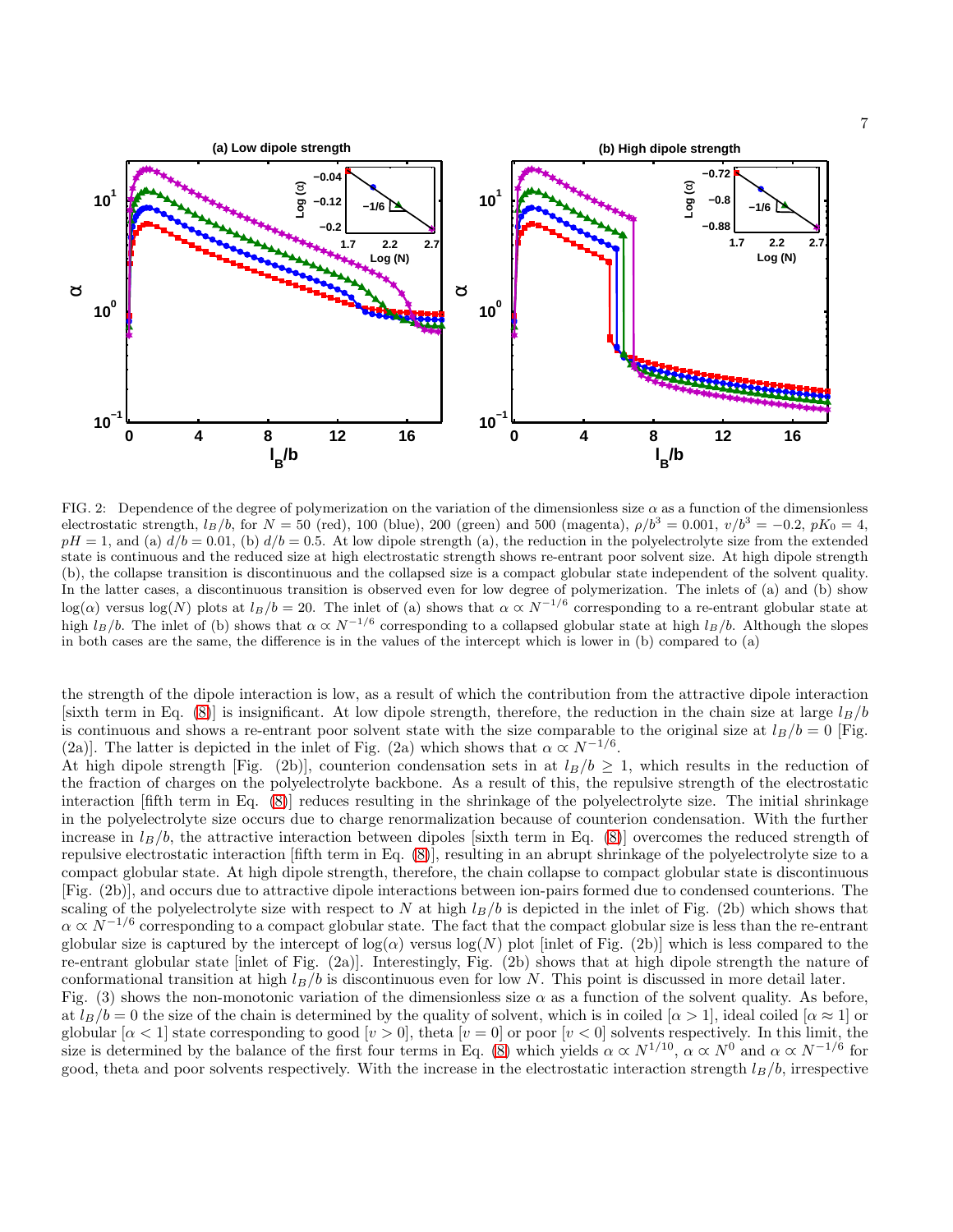

FIG. 2: Dependence of the degree of polymerization on the variation of the dimensionless size  $\alpha$  as a function of the dimensionless electrostatic strength,  $l_B/b$ , for  $N = 50$  (red), 100 (blue), 200 (green) and 500 (magenta),  $\rho/b^3 = 0.001$ ,  $v/b^3 = -0.2$ ,  $pK_0 = 4$ ,  $pH = 1$ , and (a)  $d/b = 0.01$ , (b)  $d/b = 0.5$ . At low dipole strength (a), the reduction in the polyelectrolyte size from the extended state is continuous and the reduced size at high electrostatic strength shows re-entrant poor solvent size. At high dipole strength (b), the collapse transition is discontinuous and the collapsed size is a compact globular state independent of the solvent quality. In the latter cases, a discontinuous transition is observed even for low degree of polymerization. The inlets of (a) and (b) show  $log(\alpha)$  versus  $log(N)$  plots at  $l_B/b = 20$ . The inlet of (a) shows that  $\alpha \propto N^{-1/6}$  corresponding to a re-entrant globular state at high  $l_B/b$ . The inlet of (b) shows that  $\alpha \propto N^{-1/6}$  corresponding to a collapsed globular state at high  $l_B/b$ . Although the slopes in both cases are the same, the difference is in the values of the intercept which is lower in (b) compared to (a)

the strength of the dipole interaction is low, as a result of which the contribution from the attractive dipole interaction [sixth term in Eq. [\(8\)](#page-3-1)] is insignificant. At low dipole strength, therefore, the reduction in the chain size at large  $l_B/b$ is continuous and shows a re-entrant poor solvent state with the size comparable to the original size at  $l_B/b = 0$  [Fig. (2a)]. The latter is depicted in the inlet of Fig. (2a) which shows that  $\alpha \propto N^{-1/6}$ .

At high dipole strength [Fig. (2b)], counterion condensation sets in at  $l_B/b \ge 1$ , which results in the reduction of the fraction of charges on the polyelectrolyte backbone. As a result of this, the repulsive strength of the electrostatic interaction [fifth term in Eq. [\(8\)](#page-3-1)] reduces resulting in the shrinkage of the polyelectrolyte size. The initial shrinkage in the polyelectrolyte size occurs due to charge renormalization because of counterion condensation. With the further increase in  $l_B/b$ , the attractive interaction between dipoles [sixth term in Eq. [\(8\)](#page-3-1)] overcomes the reduced strength of repulsive electrostatic interaction [fifth term in Eq. [\(8\)](#page-3-1)], resulting in an abrupt shrinkage of the polyelectrolyte size to a compact globular state. At high dipole strength, therefore, the chain collapse to compact globular state is discontinuous [Fig. (2b)], and occurs due to attractive dipole interactions between ion-pairs formed due to condensed counterions. The scaling of the polyelectrolyte size with respect to N at high  $l_B/b$  is depicted in the inlet of Fig. (2b) which shows that  $\alpha \propto N^{-1/6}$  corresponding to a compact globular state. The fact that the compact globular size is less than the re-entrant globular size is captured by the intercept of  $log(a)$  versus  $log(N)$  plot [inlet of Fig. (2b)] which is less compared to the re-entrant globular state [inlet of Fig. (2a)]. Interestingly, Fig. (2b) shows that at high dipole strength the nature of conformational transition at high  $l_B/b$  is discontinuous even for low N. This point is discussed in more detail later. Fig. (3) shows the non-monotonic variation of the dimensionless size  $\alpha$  as a function of the solvent quality. As before, at  $l_B/b = 0$  the size of the chain is determined by the quality of solvent, which is in coiled  $[\alpha > 1]$ , ideal coiled  $[\alpha \approx 1]$  or globular  $\alpha < 1$  state corresponding to good  $[v > 0]$ , theta  $[v = 0]$  or poor  $[v < 0]$  solvents respectively. In this limit, the size is determined by the balance of the first four terms in Eq. [\(8\)](#page-3-1) which yields  $\alpha \propto N^{1/10}$ ,  $\alpha \propto N^{0}$  and  $\alpha \propto N^{-1/6}$  for good, theta and poor solvents respectively. With the increase in the electrostatic interaction strength  $l_B/b$ , irrespective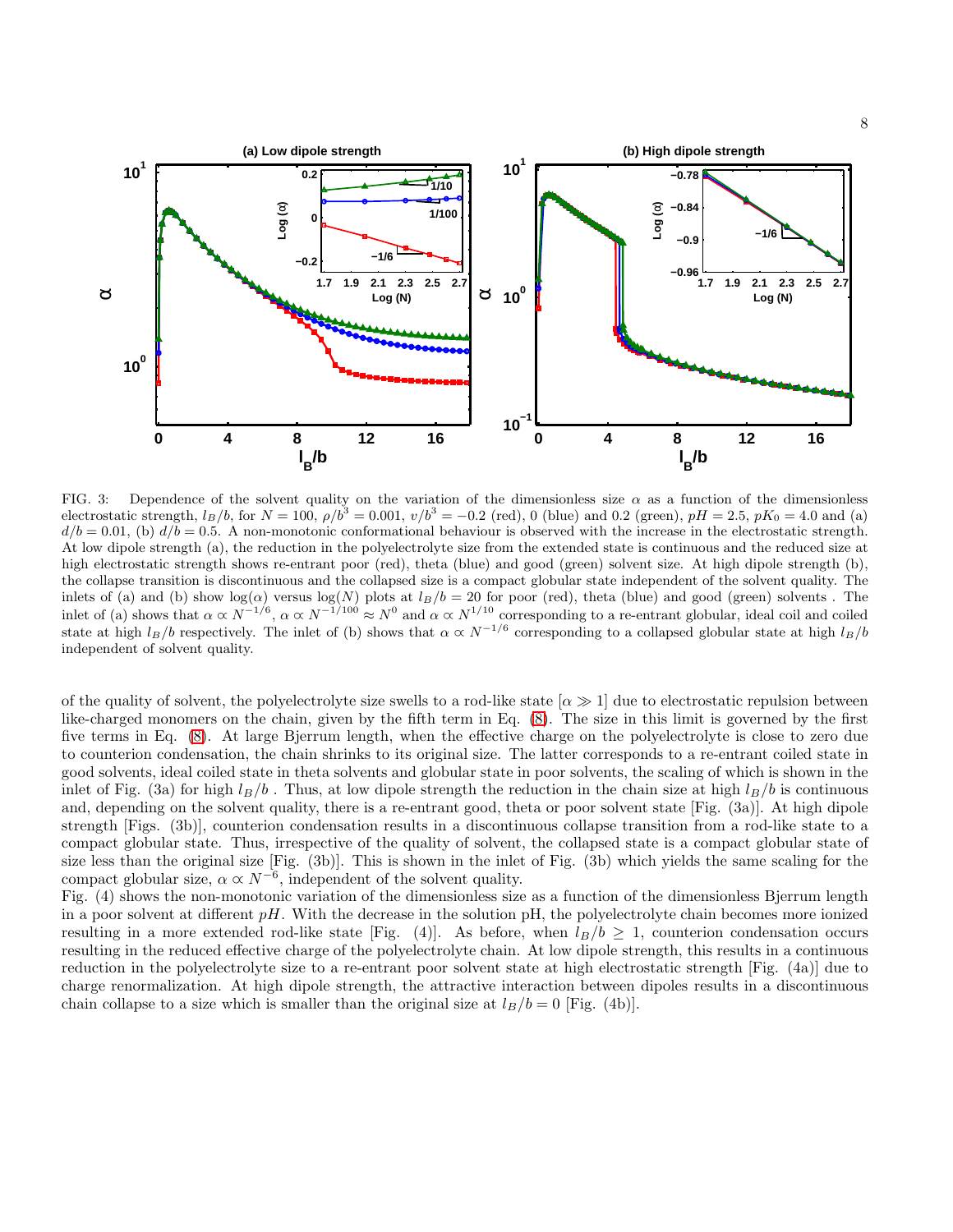

FIG. 3: Dependence of the solvent quality on the variation of the dimensionless size  $\alpha$  as a function of the dimensionless electrostatic strength,  $l_B/b$ , for  $N = 100$ ,  $\rho/b^3 = 0.001$ ,  $v/b^3 = -0.2$  (red), 0 (blue) and 0.2 (green),  $pH = 2.5$ ,  $pK_0 = 4.0$  and (a)  $d/b = 0.01$ , (b)  $d/b = 0.5$ . A non-monotonic conformational behaviour is observed with the increase in the electrostatic strength. At low dipole strength (a), the reduction in the polyelectrolyte size from the extended state is continuous and the reduced size at high electrostatic strength shows re-entrant poor (red), theta (blue) and good (green) solvent size. At high dipole strength (b), the collapse transition is discontinuous and the collapsed size is a compact globular state independent of the solvent quality. The inlets of (a) and (b) show  $log(\alpha)$  versus  $log(N)$  plots at  $l_B/b = 20$  for poor (red), theta (blue) and good (green) solvents. The inlet of (a) shows that  $\alpha \propto N^{-1/6}$ ,  $\alpha \propto N^{-1/100} \approx N^0$  and  $\alpha \propto N^{1/10}$  corresponding to a re-entrant globular, ideal coil and coiled state at high  $l_B/b$  respectively. The inlet of (b) shows that  $\alpha \propto N^{-1/6}$  corresponding to a collapsed globular state at high  $l_B/b$ independent of solvent quality.

of the quality of solvent, the polyelectrolyte size swells to a rod-like state  $\alpha \gg 1$  due to electrostatic repulsion between like-charged monomers on the chain, given by the fifth term in Eq. [\(8\)](#page-3-1). The size in this limit is governed by the first five terms in Eq. [\(8\)](#page-3-1). At large Bjerrum length, when the effective charge on the polyelectrolyte is close to zero due to counterion condensation, the chain shrinks to its original size. The latter corresponds to a re-entrant coiled state in good solvents, ideal coiled state in theta solvents and globular state in poor solvents, the scaling of which is shown in the inlet of Fig. (3a) for high  $l_B/b$ . Thus, at low dipole strength the reduction in the chain size at high  $l_B/b$  is continuous and, depending on the solvent quality, there is a re-entrant good, theta or poor solvent state [Fig. (3a)]. At high dipole strength [Figs. (3b)], counterion condensation results in a discontinuous collapse transition from a rod-like state to a compact globular state. Thus, irrespective of the quality of solvent, the collapsed state is a compact globular state of size less than the original size [Fig. (3b)]. This is shown in the inlet of Fig. (3b) which yields the same scaling for the compact globular size,  $\alpha \propto N^{-6}$ , independent of the solvent quality.

Fig. (4) shows the non-monotonic variation of the dimensionless size as a function of the dimensionless Bjerrum length in a poor solvent at different  $pH$ . With the decrease in the solution  $pH$ , the polyelectrolyte chain becomes more ionized resulting in a more extended rod-like state [Fig. (4)]. As before, when  $l_B/b \geq 1$ , counterion condensation occurs resulting in the reduced effective charge of the polyelectrolyte chain. At low dipole strength, this results in a continuous reduction in the polyelectrolyte size to a re-entrant poor solvent state at high electrostatic strength [Fig. (4a)] due to charge renormalization. At high dipole strength, the attractive interaction between dipoles results in a discontinuous chain collapse to a size which is smaller than the original size at  $l_B/b = 0$  [Fig. (4b)].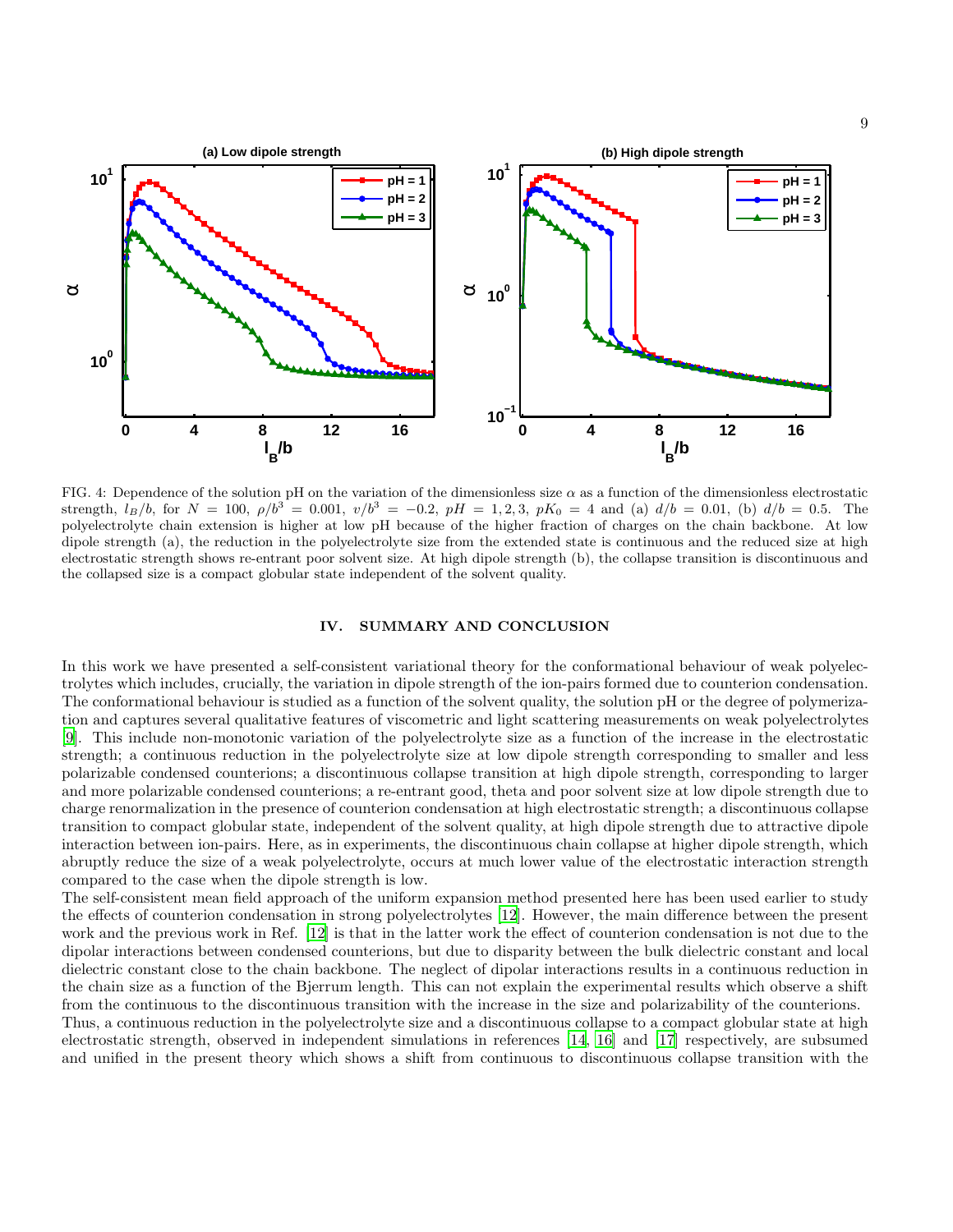

FIG. 4: Dependence of the solution pH on the variation of the dimensionless size  $\alpha$  as a function of the dimensionless electrostatic strength,  $l_B/b$ , for  $N = 100$ ,  $\rho/b^3 = 0.001$ ,  $v/b^3 = -0.2$ ,  $pH = 1, 2, 3$ ,  $pK_0 = 4$  and (a)  $d/b = 0.01$ , (b)  $d/b = 0.5$ . The polyelectrolyte chain extension is higher at low pH because of the higher fraction of charges on the chain backbone. At low dipole strength (a), the reduction in the polyelectrolyte size from the extended state is continuous and the reduced size at high electrostatic strength shows re-entrant poor solvent size. At high dipole strength (b), the collapse transition is discontinuous and the collapsed size is a compact globular state independent of the solvent quality.

### IV. SUMMARY AND CONCLUSION

In this work we have presented a self-consistent variational theory for the conformational behaviour of weak polyelectrolytes which includes, crucially, the variation in dipole strength of the ion-pairs formed due to counterion condensation. The conformational behaviour is studied as a function of the solvent quality, the solution pH or the degree of polymerization and captures several qualitative features of viscometric and light scattering measurements on weak polyelectrolytes [\[9](#page-13-7)]. This include non-monotonic variation of the polyelectrolyte size as a function of the increase in the electrostatic strength; a continuous reduction in the polyelectrolyte size at low dipole strength corresponding to smaller and less polarizable condensed counterions; a discontinuous collapse transition at high dipole strength, corresponding to larger and more polarizable condensed counterions; a re-entrant good, theta and poor solvent size at low dipole strength due to charge renormalization in the presence of counterion condensation at high electrostatic strength; a discontinuous collapse transition to compact globular state, independent of the solvent quality, at high dipole strength due to attractive dipole interaction between ion-pairs. Here, as in experiments, the discontinuous chain collapse at higher dipole strength, which abruptly reduce the size of a weak polyelectrolyte, occurs at much lower value of the electrostatic interaction strength compared to the case when the dipole strength is low.

The self-consistent mean field approach of the uniform expansion method presented here has been used earlier to study the effects of counterion condensation in strong polyelectrolytes [\[12](#page-13-13)]. However, the main difference between the present work and the previous work in Ref. [\[12\]](#page-13-13) is that in the latter work the effect of counterion condensation is not due to the dipolar interactions between condensed counterions, but due to disparity between the bulk dielectric constant and local dielectric constant close to the chain backbone. The neglect of dipolar interactions results in a continuous reduction in the chain size as a function of the Bjerrum length. This can not explain the experimental results which observe a shift from the continuous to the discontinuous transition with the increase in the size and polarizability of the counterions.

Thus, a continuous reduction in the polyelectrolyte size and a discontinuous collapse to a compact globular state at high electrostatic strength, observed in independent simulations in references [\[14,](#page-13-11) [16\]](#page-13-12) and [\[17\]](#page-13-10) respectively, are subsumed and unified in the present theory which shows a shift from continuous to discontinuous collapse transition with the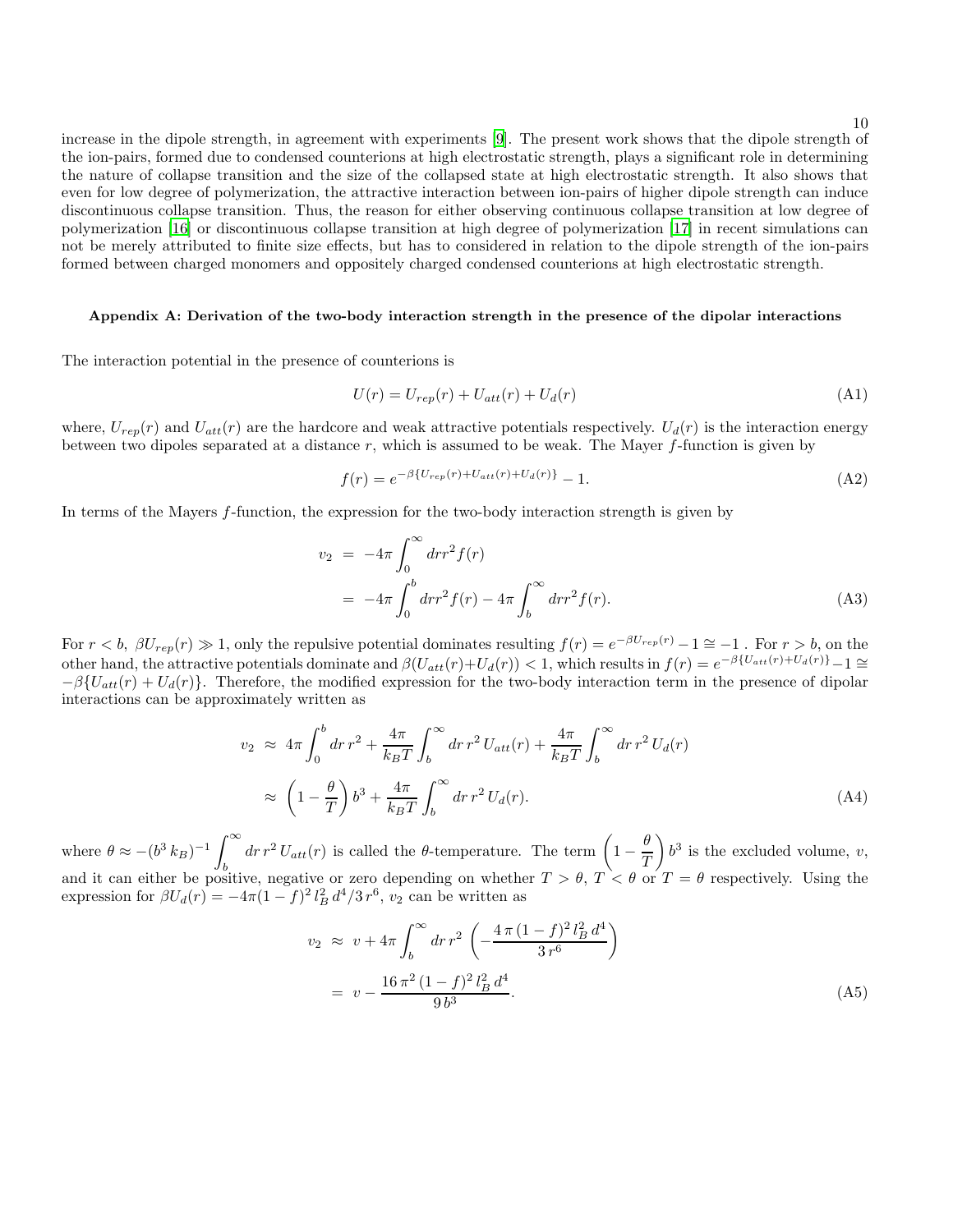increase in the dipole strength, in agreement with experiments [\[9\]](#page-13-7). The present work shows that the dipole strength of the ion-pairs, formed due to condensed counterions at high electrostatic strength, plays a significant role in determining the nature of collapse transition and the size of the collapsed state at high electrostatic strength. It also shows that even for low degree of polymerization, the attractive interaction between ion-pairs of higher dipole strength can induce discontinuous collapse transition. Thus, the reason for either observing continuous collapse transition at low degree of polymerization [\[16\]](#page-13-12) or discontinuous collapse transition at high degree of polymerization [\[17\]](#page-13-10) in recent simulations can not be merely attributed to finite size effects, but has to considered in relation to the dipole strength of the ion-pairs formed between charged monomers and oppositely charged condensed counterions at high electrostatic strength.

# Appendix A: Derivation of the two-body interaction strength in the presence of the dipolar interactions

The interaction potential in the presence of counterions is

$$
U(r) = U_{rep}(r) + U_{att}(r) + U_d(r)
$$
\n(A1)

where,  $U_{rep}(r)$  and  $U_{att}(r)$  are the hardcore and weak attractive potentials respectively.  $U_d(r)$  is the interaction energy between two dipoles separated at a distance  $r$ , which is assumed to be weak. The Mayer  $f$ -function is given by

$$
f(r) = e^{-\beta \{U_{rep}(r) + U_{att}(r) + U_d(r)\}} - 1.
$$
\n(A2)

In terms of the Mayers  $f$ -function, the expression for the two-body interaction strength is given by

$$
v_2 = -4\pi \int_0^\infty dr r^2 f(r)
$$
  
=  $-4\pi \int_0^b dr r^2 f(r) - 4\pi \int_b^\infty dr r^2 f(r).$  (A3)

For  $r < b$ ,  $\beta U_{rep}(r) \gg 1$ , only the repulsive potential dominates resulting  $f(r) = e^{-\beta U_{rep}(r)} - 1 \approx -1$ . For  $r > b$ , on the other hand, the attractive potentials dominate and  $\beta(U_{att}(r)+U_d(r)) < 1$ , which results in  $f(r) = e^{-\beta\{U_{att}(r)+U_d(r)\}}-1 \cong$  $-\beta\{U_{att}(r) + U_d(r)\}\.$  Therefore, the modified expression for the two-body interaction term in the presence of dipolar interactions can be approximately written as

$$
v_2 \approx 4\pi \int_0^b dr \, r^2 + \frac{4\pi}{k_B T} \int_b^\infty dr \, r^2 \, U_{att}(r) + \frac{4\pi}{k_B T} \int_b^\infty dr \, r^2 \, U_d(r)
$$

$$
\approx \left(1 - \frac{\theta}{T}\right) b^3 + \frac{4\pi}{k_B T} \int_b^\infty dr \, r^2 \, U_d(r). \tag{A4}
$$

where  $\theta \approx -(b^3 k_B)^{-1} \int_{1}^{\infty}$  $\int_{b}^{\infty} dr r^2 U_{att}(r)$  is called the  $\theta$ -temperature. The term  $\left(1 - \frac{\theta}{T}\right)$  $\mathcal{I}$  $\int b^3$  is the excluded volume, v, and it can either be positive, negative or zero depending on whether  $T > \theta$ ,  $T < \theta$  or  $T = \theta$  respectively. Using the expression for  $\beta U_d(r) = -4\pi (1-f)^2 l_B^2 d^4/3 r^6$ ,  $v_2$  can be written as

$$
v_2 \approx v + 4\pi \int_b^{\infty} dr \, r^2 \left( -\frac{4\pi (1 - f)^2 l_B^2 d^4}{3 \, r^6} \right)
$$
  
= 
$$
v - \frac{16\pi^2 (1 - f)^2 l_B^2 d^4}{9 \, b^3}.
$$
 (A5)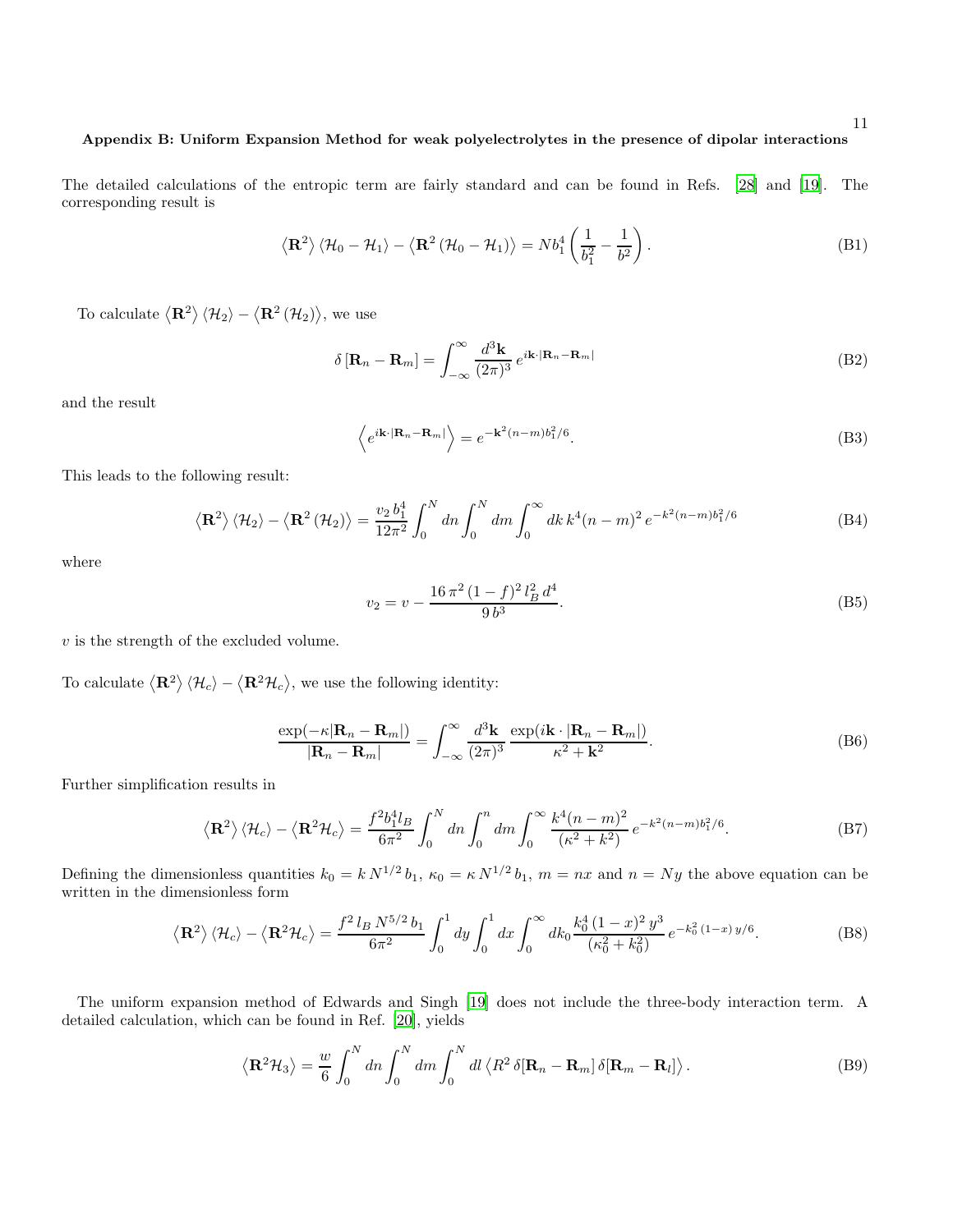## Appendix B: Uniform Expansion Method for weak polyelectrolytes in the presence of dipolar interactions

The detailed calculations of the entropic term are fairly standard and can be found in Refs. [\[28\]](#page-13-22) and [\[19](#page-13-21)]. The corresponding result is

<span id="page-10-0"></span>
$$
\langle \mathbf{R}^2 \rangle \langle \mathcal{H}_0 - \mathcal{H}_1 \rangle - \langle \mathbf{R}^2 (\mathcal{H}_0 - \mathcal{H}_1) \rangle = N b_1^4 \left( \frac{1}{b_1^2} - \frac{1}{b^2} \right).
$$
 (B1)

To calculate  $\langle \mathbf{R}^2 \rangle \langle \mathcal{H}_2 \rangle - \langle \mathbf{R}^2 (\mathcal{H}_2) \rangle$ , we use

$$
\delta\left[\mathbf{R}_n - \mathbf{R}_m\right] = \int_{-\infty}^{\infty} \frac{d^3 \mathbf{k}}{(2\pi)^3} e^{i\mathbf{k} \cdot |\mathbf{R}_n - \mathbf{R}_m|}
$$
(B2)

and the result

$$
\left\langle e^{i\mathbf{k}\cdot|\mathbf{R}_n-\mathbf{R}_m|} \right\rangle = e^{-\mathbf{k}^2(n-m)b_1^2/6}.
$$
\n(B3)

This leads to the following result:

<span id="page-10-1"></span>
$$
\langle \mathbf{R}^2 \rangle \langle \mathcal{H}_2 \rangle - \langle \mathbf{R}^2 (\mathcal{H}_2) \rangle = \frac{v_2 b_1^4}{12\pi^2} \int_0^N dn \int_0^N dm \int_0^\infty dk \, k^4 (n-m)^2 \, e^{-k^2 (n-m)b_1^2/6} \tag{B4}
$$

where

$$
v_2 = v - \frac{16\,\pi^2\,(1-f)^2\,l_B^2\,d^4}{9\,b^3}.\tag{B5}
$$

 $\boldsymbol{v}$  is the strength of the excluded volume.

To calculate  $\langle \mathbf{R}^2 \rangle \langle \mathcal{H}_c \rangle - \langle \mathbf{R}^2 \mathcal{H}_c \rangle$ , we use the following identity:

$$
\frac{\exp(-\kappa |\mathbf{R}_n - \mathbf{R}_m|)}{|\mathbf{R}_n - \mathbf{R}_m|} = \int_{-\infty}^{\infty} \frac{d^3 \mathbf{k}}{(2\pi)^3} \frac{\exp(i\mathbf{k} \cdot |\mathbf{R}_n - \mathbf{R}_m|)}{\kappa^2 + \mathbf{k}^2}.
$$
(B6)

Further simplification results in

$$
\langle \mathbf{R}^2 \rangle \langle \mathcal{H}_c \rangle - \langle \mathbf{R}^2 \mathcal{H}_c \rangle = \frac{f^2 b_1^4 l_B}{6\pi^2} \int_0^N dn \int_0^n dm \int_0^\infty \frac{k^4 (n-m)^2}{(\kappa^2 + k^2)} e^{-k^2 (n-m)b_1^2/6}.
$$
 (B7)

Defining the dimensionless quantities  $k_0 = k N^{1/2} b_1$ ,  $\kappa_0 = k N^{1/2} b_1$ ,  $m = nx$  and  $n = Ny$  the above equation can be written in the dimensionless form

<span id="page-10-2"></span>
$$
\langle \mathbf{R}^2 \rangle \langle \mathcal{H}_c \rangle - \langle \mathbf{R}^2 \mathcal{H}_c \rangle = \frac{f^2 l_B N^{5/2} b_1}{6\pi^2} \int_0^1 dy \int_0^1 dx \int_0^\infty dk_0 \frac{k_0^4 (1-x)^2 y^3}{(\kappa_0^2 + k_0^2)} e^{-k_0^2 (1-x) y/6}.
$$
 (B8)

The uniform expansion method of Edwards and Singh [\[19\]](#page-13-21) does not include the three-body interaction term. A detailed calculation, which can be found in Ref. [\[20\]](#page-13-15), yields

$$
\langle \mathbf{R}^2 \mathcal{H}_3 \rangle = \frac{w}{6} \int_0^N dn \int_0^N dm \int_0^N dl \langle R^2 \, \delta[\mathbf{R}_n - \mathbf{R}_m] \, \delta[\mathbf{R}_m - \mathbf{R}_l] \rangle. \tag{B9}
$$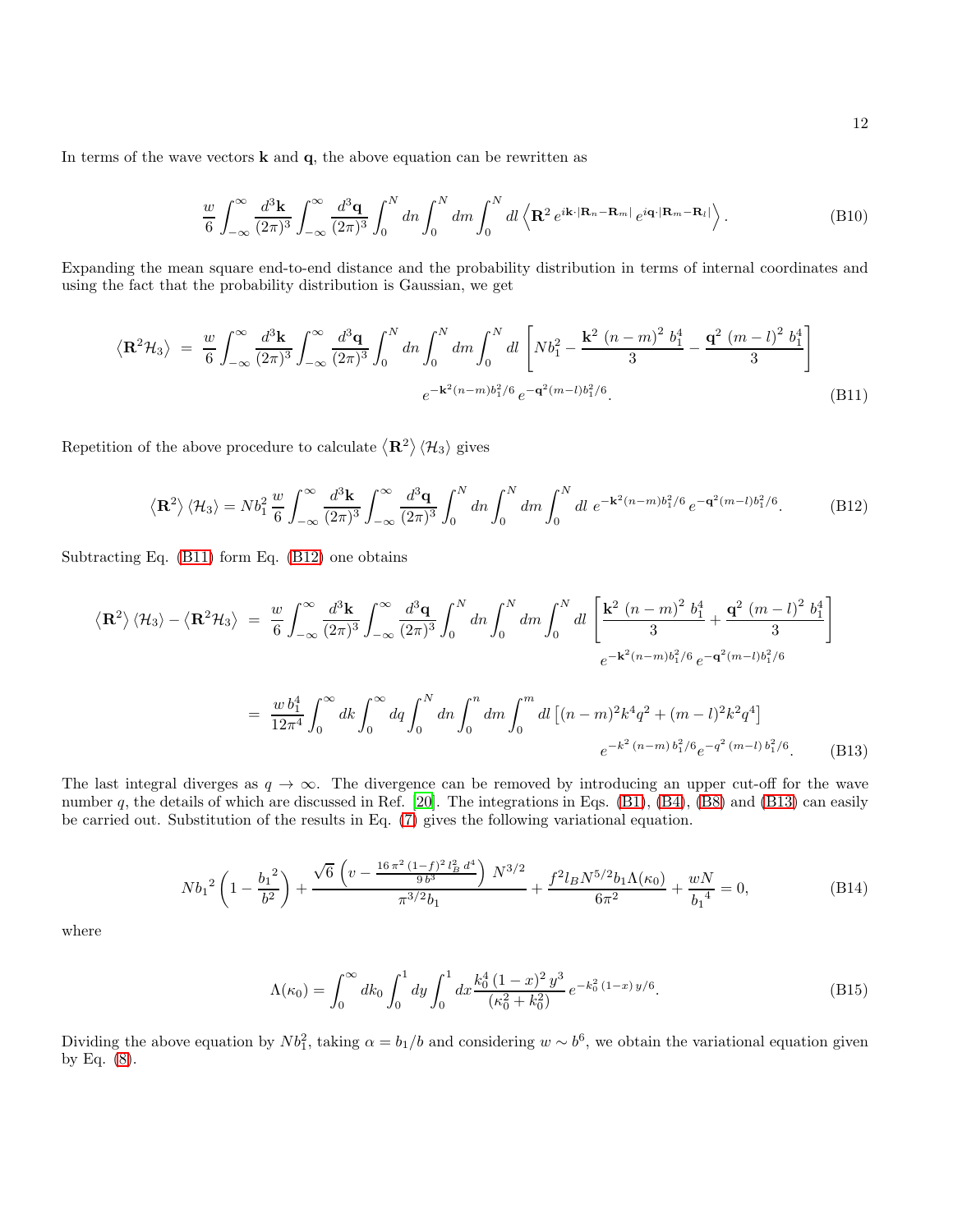In terms of the wave vectors  $\bf{k}$  and  $\bf{q}$ , the above equation can be rewritten as

$$
\frac{w}{6} \int_{-\infty}^{\infty} \frac{d^3 \mathbf{k}}{(2\pi)^3} \int_{-\infty}^{\infty} \frac{d^3 \mathbf{q}}{(2\pi)^3} \int_0^N dn \int_0^N dm \int_0^N dl \left\langle \mathbf{R}^2 e^{i\mathbf{k} \cdot |\mathbf{R}_n - \mathbf{R}_m|} e^{i\mathbf{q} \cdot |\mathbf{R}_m - \mathbf{R}_l|} \right\rangle.
$$
 (B10)

Expanding the mean square end-to-end distance and the probability distribution in terms of internal coordinates and using the fact that the probability distribution is Gaussian, we get

<span id="page-11-0"></span>
$$
\langle \mathbf{R}^2 \mathcal{H}_3 \rangle = \frac{w}{6} \int_{-\infty}^{\infty} \frac{d^3 \mathbf{k}}{(2\pi)^3} \int_{-\infty}^{\infty} \frac{d^3 \mathbf{q}}{(2\pi)^3} \int_0^N dn \int_0^N dm \int_0^N dl \left[ Nb_1^2 - \frac{\mathbf{k}^2 (n-m)^2 b_1^4}{3} - \frac{\mathbf{q}^2 (m-l)^2 b_1^4}{3} \right]
$$

$$
e^{-\mathbf{k}^2 (n-m)b_1^2/6} e^{-\mathbf{q}^2 (m-l)b_1^2/6}.
$$
 (B11)

Repetition of the above procedure to calculate  $\langle \mathbf{R}^2\rangle \langle \mathcal{H}_3\rangle$  gives

<span id="page-11-1"></span>
$$
\langle \mathbf{R}^2 \rangle \langle \mathcal{H}_3 \rangle = N b_1^2 \frac{w}{6} \int_{-\infty}^{\infty} \frac{d^3 \mathbf{k}}{(2\pi)^3} \int_{-\infty}^{\infty} \frac{d^3 \mathbf{q}}{(2\pi)^3} \int_0^N dn \int_0^N dm \int_0^N dl \ e^{-\mathbf{k}^2 (n-m)b_1^2/6} e^{-\mathbf{q}^2 (m-l)b_1^2/6}.
$$
 (B12)

Subtracting Eq. [\(B11\)](#page-11-0) form Eq. [\(B12\)](#page-11-1) one obtains

<span id="page-11-2"></span>
$$
\langle \mathbf{R}^2 \rangle \langle \mathcal{H}_3 \rangle - \langle \mathbf{R}^2 \mathcal{H}_3 \rangle = \frac{w}{6} \int_{-\infty}^{\infty} \frac{d^3 \mathbf{k}}{(2\pi)^3} \int_{-\infty}^{\infty} \frac{d^3 \mathbf{q}}{(2\pi)^3} \int_0^N dn \int_0^N dm \int_0^N dl \left[ \frac{\mathbf{k}^2 (n-m)^2 b_1^4}{3} + \frac{\mathbf{q}^2 (m-l)^2 b_1^4}{3} \right]
$$
  

$$
e^{-\mathbf{k}^2 (n-m)b_1^2 / 6} e^{-\mathbf{q}^2 (m-l)b_1^2 / 6}
$$
  

$$
= \frac{w b_1^4}{12\pi^4} \int_0^{\infty} dk \int_0^{\infty} dq \int_0^N dn \int_0^n dm \int_0^m dl \left[ (n-m)^2 k^4 q^2 + (m-l)^2 k^2 q^4 \right]
$$
  

$$
e^{-k^2 (n-m) b_1^2 / 6} e^{-q^2 (m-l) b_1^2 / 6}.
$$
 (B13)

The last integral diverges as  $q \to \infty$ . The divergence can be removed by introducing an upper cut-off for the wave number q, the details of which are discussed in Ref.  $[20]$ . The integrations in Eqs.  $(B1)$ ,  $(B4)$ ,  $(B8)$  and  $(B13)$  can easily be carried out. Substitution of the results in Eq. [\(7\)](#page-3-3) gives the following variational equation.

$$
Nb_1{}^2 \left(1 - \frac{b_1{}^2}{b^2}\right) + \frac{\sqrt{6}\left(v - \frac{16\pi^2\left(1 - f\right)^2 l_B^2 d^4}{9\,b^3}\right) N^{3/2}}{\pi^{3/2}b_1} + \frac{f^2 l_B N^{5/2} b_1 \Lambda(\kappa_0)}{6\pi^2} + \frac{wN}{b_1{}^4} = 0,\tag{B14}
$$

where

$$
\Lambda(\kappa_0) = \int_0^\infty dk_0 \int_0^1 dy \int_0^1 dx \frac{k_0^4 (1-x)^2 y^3}{(\kappa_0^2 + k_0^2)} e^{-k_0^2 (1-x) y/6}.
$$
\n(B15)

Dividing the above equation by  $Nb_1^2$ , taking  $\alpha = b_1/b$  and considering  $w \sim b^6$ , we obtain the variational equation given by Eq. [\(8\)](#page-3-1).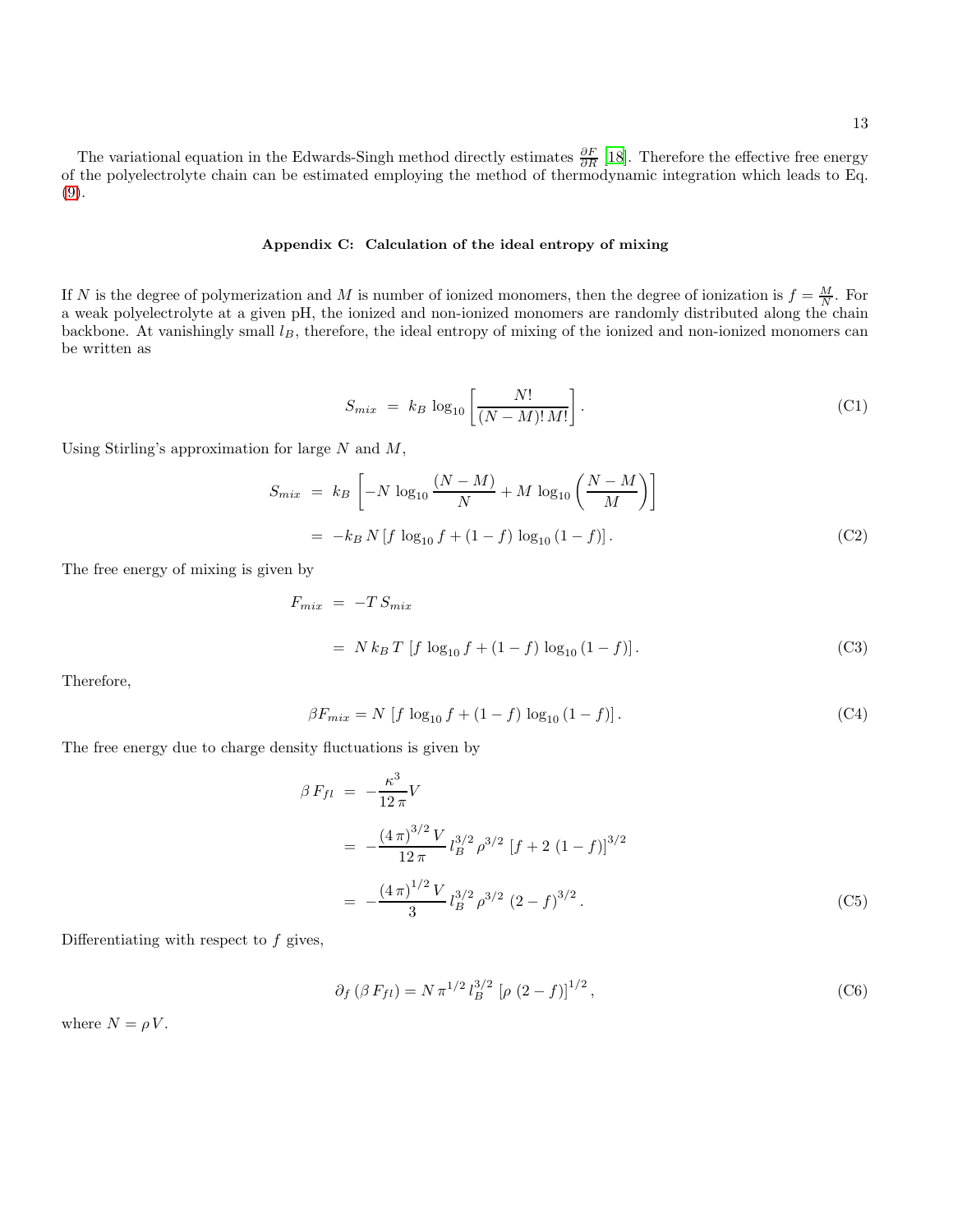The variational equation in the Edwards-Singh method directly estimates  $\frac{\partial F}{\partial R}$  [\[18\]](#page-13-14). Therefore the effective free energy of the polyelectrolyte chain can be estimated employing the method of thermodynamic integration which leads to Eq. [\(9\)](#page-3-2).

#### Appendix C: Calculation of the ideal entropy of mixing

If N is the degree of polymerization and M is number of ionized monomers, then the degree of ionization is  $f = \frac{M}{N}$ . For a weak polyelectrolyte at a given pH, the ionized and non-ionized monomers are randomly distributed along the chain backbone. At vanishingly small  $l_B$ , therefore, the ideal entropy of mixing of the ionized and non-ionized monomers can be written as

$$
S_{mix} = k_B \log_{10} \left[ \frac{N!}{(N-M)! \, M!} \right]. \tag{C1}
$$

Using Stirling's approximation for large  $N$  and  $M$ ,

$$
S_{mix} = k_B \left[ -N \log_{10} \frac{(N-M)}{N} + M \log_{10} \left( \frac{N-M}{M} \right) \right]
$$
  
=  $-k_B N \left[ f \log_{10} f + (1-f) \log_{10} (1-f) \right].$  (C2)

The free energy of mixing is given by

$$
F_{mix} = -T S_{mix}
$$
  
= N k<sub>B</sub> T [f log<sub>10</sub> f + (1 - f) log<sub>10</sub> (1 - f)]. (C3)

Therefore,

$$
\beta F_{mix} = N \left[ f \log_{10} f + (1 - f) \log_{10} (1 - f) \right]. \tag{C4}
$$

The free energy due to charge density fluctuations is given by

$$
\beta F_{fl} = -\frac{\kappa^3}{12 \pi} V
$$
  
= 
$$
-\frac{(4 \pi)^{3/2} V}{12 \pi} l_B^{3/2} \rho^{3/2} [f + 2 (1 - f)]^{3/2}
$$
  
= 
$$
-\frac{(4 \pi)^{1/2} V}{3} l_B^{3/2} \rho^{3/2} (2 - f)^{3/2}.
$$
 (C5)

Differentiating with respect to  $f$  gives,

$$
\partial_f (\beta F_{fl}) = N \pi^{1/2} l_B^{3/2} [\rho (2 - f)]^{1/2}, \qquad (C6)
$$

where  $N = \rho V$ .